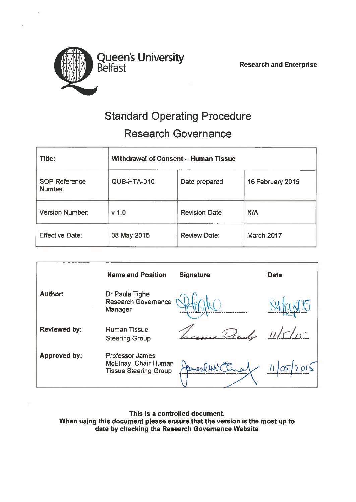

# **WAY Queen's University** Belfast

Research and Enterprise

# Standard Operating Procedure Research Governance

| Title:                          | Withdrawal of Consent -- Human Tissue |                      |                  |
|---------------------------------|---------------------------------------|----------------------|------------------|
| <b>SOP Reference</b><br>Number: | QUB-HTA-010                           | Date prepared        | 16 February 2015 |
| <b>Version Number:</b>          | v <sub>1.0</sub>                      | <b>Revision Date</b> | <b>N/A</b>       |
| <b>Effective Date:</b>          | 08 May 2015                           | <b>Review Date:</b>  | March 2017       |

|                     | <b>Name and Position</b>                                                       | <b>Signature</b> | <b>Date</b> |
|---------------------|--------------------------------------------------------------------------------|------------------|-------------|
| <b>Author:</b>      | Dr Paula Tighe<br>Research Governance<br>Manager                               |                  |             |
| <b>Reviewed by:</b> | <b>Human Tissue</b><br><b>Steering Group</b>                                   | Prendy           | 11/5/15     |
| <b>Approved by:</b> | <b>Professor James</b><br>McElnay, Chair Human<br><b>Tissue Steering Group</b> |                  |             |

This is <sup>a</sup> controlled document. When using this document please ensure that the version is the most up to date by checking the Research Governance Website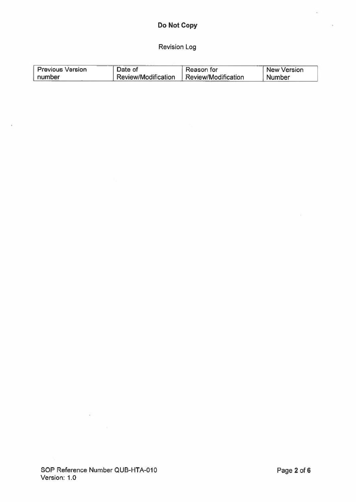# Revision Log

| <b>Previous Version</b> | Date of             | Reason for          | <b>New Version</b> |
|-------------------------|---------------------|---------------------|--------------------|
| number                  | Review/Modification | Review/Modification | Number             |

Ð

 $\frac{1}{2}$ 

 $\frac{1}{2}$  .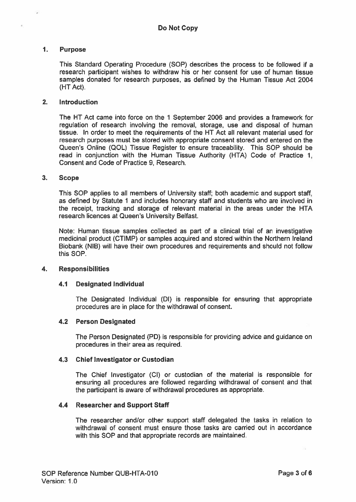# 1. Purpose

This Standard Operating Procedure (SOP) describes the process to be followed if <sup>a</sup> research participant wishes to withdraw his or her consent for use of human tissue samples donated for research purposes, as defined by the Human Tissue Act 2004 (HT Act).

#### 2. Introduction

The HT Act came into force on the 1 September 2006 and provides <sup>a</sup> framework for regulation of research involving the removal, storage, use and disposal of human tissue. In order to meet the requirements of the HT Act all relevant material used for research purposes must be stored with appropriate consent stored and entered on the Queen's Online (QOL) Tissue Register to ensure traceability. This SOP should be read in conjunction with the Human Tissue Authority (HTA) Code of Practice 1, Consent and Code of Practice 9, Research.

#### 3. Scope

This SOP applies to all members of University staff; both academic and suppor<sup>t</sup> staff. as defined by Statute 1 and includes honorary staff and students who are involved in the receipt, tracking and storage of relevant material in the areas under the HTA research licences at Queen's University Belfast.

Note: Human tissue samples collected as par<sup>t</sup> of <sup>a</sup> clinical trial of an investigative medicinal product (CTIMP) or samples acquired and stored within the Northern Ireland Biobank (NIB) will have their own procedures and requirements and should not follow this SOP.

#### 4. Responsibilities

# 4.1 Designated Individual

The Designated Individual (DI) is responsible for ensuring that appropriate procedures are in place for the withdrawal of consent.

#### 4.2 Person Designated

The Person Designated (PD) is responsible for providing advice and guidance on procedures in their area as required.

#### 4.3 Chief Investigator or Custodian

The Chief Investigator (Cl) or custodian of the material is responsible for ensuring all procedures are followed regarding withdrawal of consent and that the participant is aware of withdrawal procedures as appropriate.

#### 4.4 Researcher and Support Staff

The researcher and/or other suppor<sup>t</sup> staff delegated the tasks in relation to withdrawal of consent must ensure those tasks are carried out in accordance with this SOP and that appropriate records are maintained.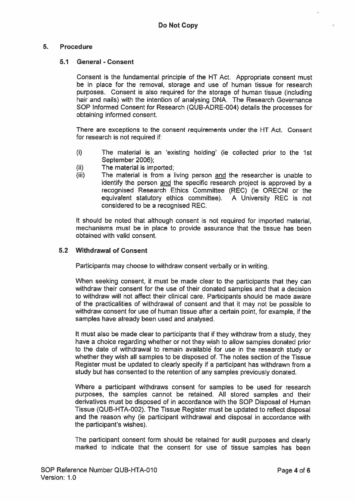## 5. Procedure

#### 5.1 General - Consent

Consent is the fundamental principle of the HT Act. Appropriate consent must be in place for the removal, storage and use of human tissue for research purposes. Consent is also required for the storage of human tissue (including hair and nails) with the intention of analysing DNA. The Research Governance SOP Informed Consent for Research (QUB-ADRE-004) details the processes for obtaining informed consent.

There are exceptions to the consent requirements under the HT Act. Consent for research is not required if:

- (i) The material is an 'existing holding' (ie collected prior to the 1st September 2006);
- $(ii)$  The material is imported:
- $(iii)$  The material is from a living person and the researcher is unable to identify the person and the specific research project is approved by <sup>a</sup> recognised Research Ethics Committee (REC) (ie ORECNI or the equivalent statutory ethics committee). A University REC is not considered to be <sup>a</sup> recognised REC.

It should be noted that although consent is not required for imported material, mechanisms must be in place to provide assurance that the tissue has been obtained with valid consent.

#### 5.2 Withdrawal of Consent

Participants may choose to withdraw consent verbally or in writing.

When seeking consent, it must be made clear to the participants that they can withdraw their consent for the use of their donated samples and that <sup>a</sup> decision to withdraw will not affect their clinical care. Participants should be made aware of the practicalities of withdrawal of consent and that it may not be possible to withdraw consent for use of human tissue after <sup>a</sup> certain point, for example, if the samples have already been used and analysed.

It must also be made clear to participants that if they withdraw from <sup>a</sup> study, they have <sup>a</sup> choice regarding whether or not they wish to allow samples donated prior to the date of withdrawal to remain available for use in the research study or whether they wish all samples to be disposed of. The notes section of the Tissue Register must be updated to clearly specify if <sup>a</sup> participant has withdrawn from <sup>a</sup> study but has consented to the retention of any samples previously donated.

Where <sup>a</sup> participant withdraws consent for samples to be used for research purposes, the samples cannot be retained. All stored samples and their derivatives must be disposed of in accordance with the SOP Disposal of Human Tissue (QUB-HTA-002). The Tissue Register must be updated to reflect disposal and the reason why (ie participant withdrawal and disposal in accordance with the participant's wishes).

The participant consent form should be retained for audit purposes and clearly marked to indicate that the consent for use of tissue samples has been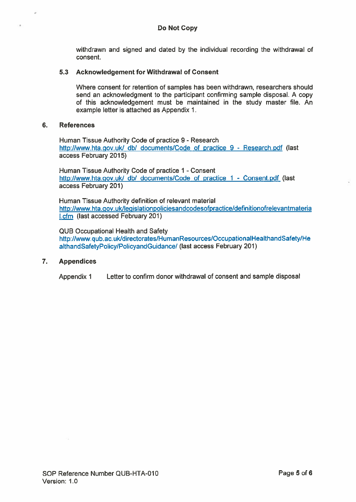withdrawn and signed and dated by the individual recording the withdrawal of consent.

## 5.3 Acknowledgement for Withdrawal of Consent

Where consent for retention of samples has been withdrawn, researchers should send an acknowledgment to the participant confirming sample disposal. A copy of this acknowledgement must be maintained in the study master file. An example letter is attached as Appendix 1.

#### 6. References

Human Tissue Authority Code of practice 9 - Research http://www.hta.gov.uk/ db/ documents/Code of practice 9 - Research.pdf (last access February 2015)

Human Tissue Authority Code of practice 1 - Consent http://www.hta.gov.uk/ db/ documents/Code of practice 1 - Consent.pdf (last access February 201)

Human Tissue Authority definition of relevant material http://www.hta.gov.uk/legislationpoliciesandcodesofpractice/definitionofrelevantmateria **I.cfm** (last accessed February 201)

QUB Occupational Health and Safety http://www.qub.ac.uk/directorates/HumanResources/OccupationalHealthandSafety/He althandSafetyPolicy/PolicyandGuidance! (last access February 201)

# 7. Appendices

Appendix 1 Letter to confirm donor withdrawal of consent and sample disposal